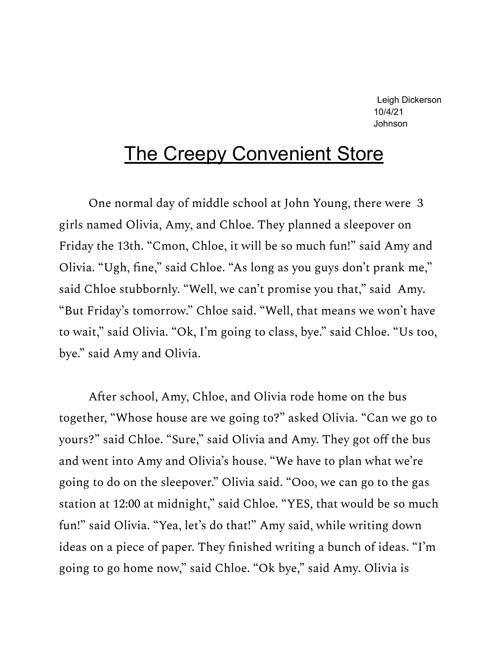Leigh Dickerson 10/4/21 Johnson

## The Creepy Convenient Store

One normal day of middle school at John Young, there were 3 girls named Olivia, Amy, and Chloe. They planned a sleepover on Friday the 13th. "Cmon, Chloe, it will be so much fun!" said Amy and Olivia. "Ugh, fine," said Chloe. "As long as you guys don't prank me," said Chloe stubbornly. "Well, we can't promise you that," said Amy. "But Friday's tomorrow." Chloe said. "Well, that means we won't have to wait," said Olivia. "Ok, I'm going to class, bye." said Chloe. "Us too, bye." said Amy and Olivia.

After school, Amy, Chloe, and Olivia rode home on the bus together, "Whose house are we going to?" asked Olivia. "Can we go to yours?" said Chloe. "Sure," said Olivia and Amy. They got off the bus and went into Amy and Olivia's house. "We have to plan what we're going to do on the sleepover." Olivia said. "Ooo, we can go to the gas station at 12:00 at midnight," said Chloe. "YES, that would be so much fun!" said Olivia. "Yea, let's do that!" Amy said, while writing down ideas on a piece of paper. They finished writing a bunch of ideas. "I'm going to go home now," said Chloe. "Ok bye," said Amy. Olivia is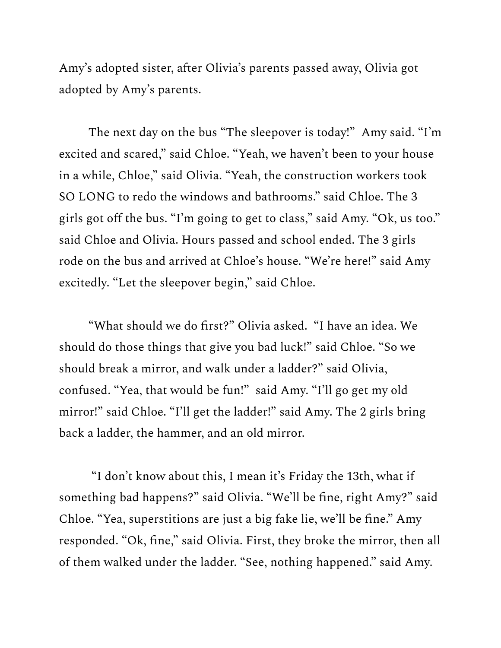Amy's adopted sister, after Olivia's parents passed away, Olivia got adopted by Amy's parents.

The next day on the bus "The sleepover is today!" Amy said. "I'm excited and scared," said Chloe. "Yeah, we haven't been to your house in a while, Chloe," said Olivia. "Yeah, the construction workers took SO LONG to redo the windows and bathrooms." said Chloe. The 3 girls got off the bus. "I'm going to get to class," said Amy. "Ok, us too." said Chloe and Olivia. Hours passed and school ended. The 3 girls rode on the bus and arrived at Chloe's house. "We're here!" said Amy excitedly. "Let the sleepover begin," said Chloe.

"What should we do first?" Olivia asked. "I have an idea. We should do those things that give you bad luck!" said Chloe. "So we should break a mirror, and walk under a ladder?" said Olivia, confused. "Yea, that would be fun!" said Amy. "I'll go get my old mirror!" said Chloe. "I'll get the ladder!" said Amy. The 2 girls bring back a ladder, the hammer, and an old mirror.

"I don't know about this, I mean it's Friday the 13th, what if something bad happens?" said Olivia. "We'll be fine, right Amy?" said Chloe. "Yea, superstitions are just a big fake lie, we'll be fine." Amy responded. "Ok, fine," said Olivia. First, they broke the mirror, then all of them walked under the ladder. "See, nothing happened." said Amy.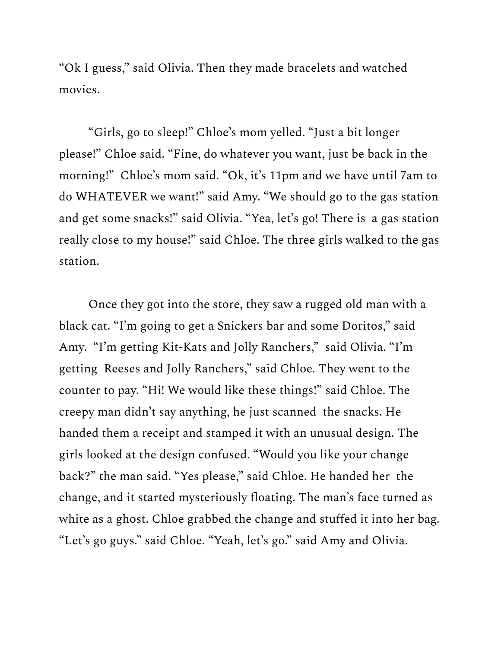"Ok I guess," said Olivia. Then they made bracelets and watched movies.

"Girls, go to sleep!" Chloe's mom yelled. "Just a bit longer please!" Chloe said. "Fine, do whatever you want, just be back in the morning!" Chloe's mom said. "Ok, it's 11pm and we have until 7am to do WHATEVER we want!" said Amy. "We should go to the gas station and get some snacks!" said Olivia. "Yea, let's go! There is a gas station really close to my house!" said Chloe. The three girls walked to the gas station.

Once they got into the store, they saw a rugged old man with a black cat. "I'm going to get a Snickers bar and some Doritos," said Amy. "I'm getting Kit-Kats and Jolly Ranchers," said Olivia. "I'm getting Reeses and Jolly Ranchers," said Chloe. They went to the counter to pay. "Hi! We would like these things!" said Chloe. The creepy man didn't say anything, he just scanned the snacks. He handed them a receipt and stamped it with an unusual design. The girls looked at the design confused. "Would you like your change back?" the man said. "Yes please," said Chloe. He handed her the change, and it started mysteriously floating. The man's face turned as white as a ghost. Chloe grabbed the change and stuffed it into her bag. "Let's go guys." said Chloe. "Yeah, let's go." said Amy and Olivia.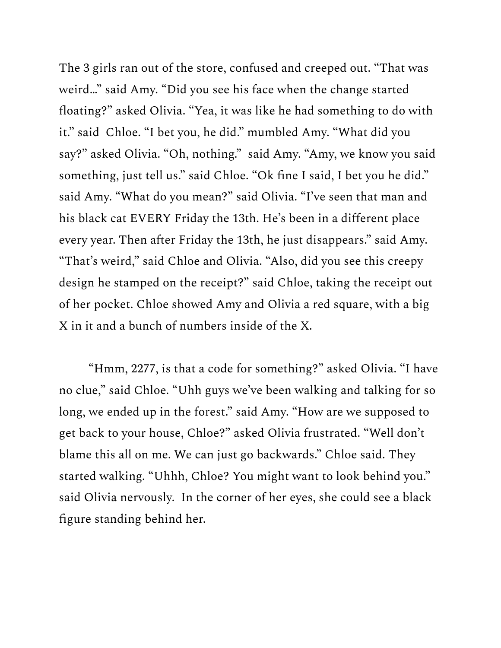The 3 girls ran out of the store, confused and creeped out. "That was weird…" said Amy. "Did you see his face when the change started floating?" asked Olivia. "Yea, it was like he had something to do with it." said Chloe. "I bet you, he did." mumbled Amy. "What did you say?" asked Olivia. "Oh, nothing." said Amy. "Amy, we know you said something, just tell us." said Chloe. "Ok fine I said, I bet you he did." said Amy. "What do you mean?" said Olivia. "I've seen that man and his black cat EVERY Friday the 13th. He's been in a different place every year. Then after Friday the 13th, he just disappears." said Amy. "That's weird," said Chloe and Olivia. "Also, did you see this creepy design he stamped on the receipt?" said Chloe, taking the receipt out of her pocket. Chloe showed Amy and Olivia a red square, with a big X in it and a bunch of numbers inside of the X.

"Hmm, 2277, is that a code for something?" asked Olivia. "I have no clue," said Chloe. "Uhh guys we've been walking and talking for so long, we ended up in the forest." said Amy. "How are we supposed to get back to your house, Chloe?" asked Olivia frustrated. "Well don't blame this all on me. We can just go backwards." Chloe said. They started walking. "Uhhh, Chloe? You might want to look behind you." said Olivia nervously. In the corner of her eyes, she could see a black figure standing behind her.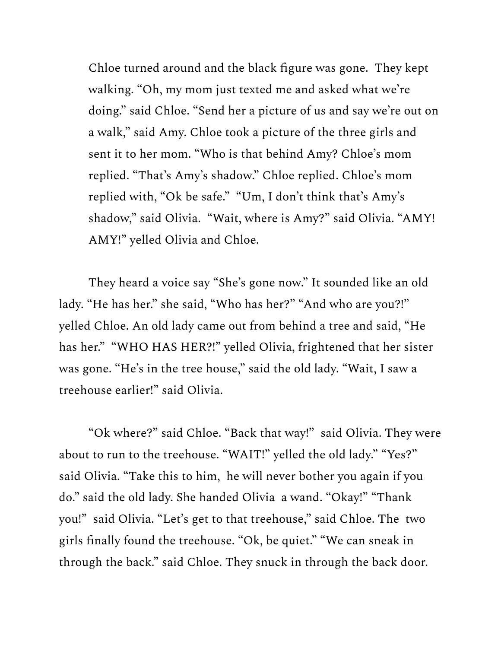Chloe turned around and the black figure was gone. They kept walking. "Oh, my mom just texted me and asked what we're doing." said Chloe. "Send her a picture of us and say we're out on a walk," said Amy. Chloe took a picture of the three girls and sent it to her mom. "Who is that behind Amy? Chloe's mom replied. "That's Amy's shadow." Chloe replied. Chloe's mom replied with, "Ok be safe." "Um, I don't think that's Amy's shadow," said Olivia. "Wait, where is Amy?" said Olivia. "AMY! AMY!" yelled Olivia and Chloe.

They heard a voice say "She's gone now." It sounded like an old lady. "He has her." she said, "Who has her?" "And who are you?!" yelled Chloe. An old lady came out from behind a tree and said, "He has her." "WHO HAS HER?!" yelled Olivia, frightened that her sister was gone. "He's in the tree house," said the old lady. "Wait, I saw a treehouse earlier!" said Olivia.

"Ok where?" said Chloe. "Back that way!" said Olivia. They were about to run to the treehouse. "WAIT!" yelled the old lady." "Yes?" said Olivia. "Take this to him, he will never bother you again if you do." said the old lady. She handed Olivia a wand. "Okay!" "Thank you!" said Olivia. "Let's get to that treehouse," said Chloe. The two girls finally found the treehouse. "Ok, be quiet." "We can sneak in through the back." said Chloe. They snuck in through the back door.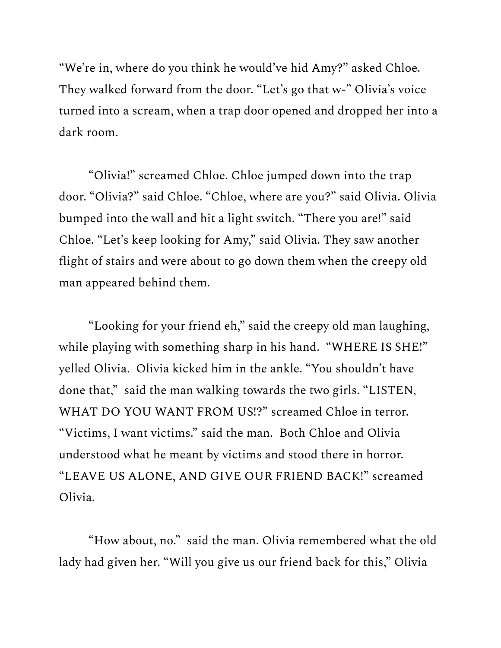"We're in, where do you think he would've hid Amy?" asked Chloe. They walked forward from the door. "Let's go that w-" Olivia's voice turned into a scream, when a trap door opened and dropped her into a dark room.

"Olivia!" screamed Chloe. Chloe jumped down into the trap door. "Olivia?" said Chloe. "Chloe, where are you?" said Olivia. Olivia bumped into the wall and hit a light switch. "There you are!" said Chloe. "Let's keep looking for Amy," said Olivia. They saw another flight of stairs and were about to go down them when the creepy old man appeared behind them.

"Looking for your friend eh," said the creepy old man laughing, while playing with something sharp in his hand. "WHERE IS SHE!" yelled Olivia. Olivia kicked him in the ankle. "You shouldn't have done that," said the man walking towards the two girls. "LISTEN, WHAT DO YOU WANT FROM US!?" screamed Chloe in terror. "Victims, I want victims." said the man. Both Chloe and Olivia understood what he meant by victims and stood there in horror. "LEAVE US ALONE, AND GIVE OUR FRIEND BACK!" screamed Olivia.

"How about, no." said the man. Olivia remembered what the old lady had given her. "Will you give us our friend back for this," Olivia